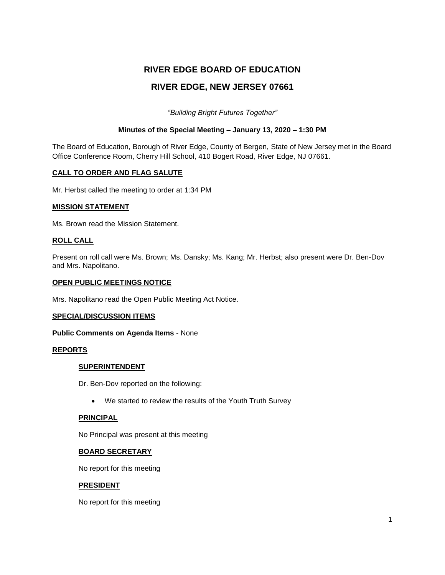# **RIVER EDGE BOARD OF EDUCATION RIVER EDGE, NEW JERSEY 07661**

*"Building Bright Futures Together"*

## **Minutes of the Special Meeting – January 13, 2020 – 1:30 PM**

The Board of Education, Borough of River Edge, County of Bergen, State of New Jersey met in the Board Office Conference Room, Cherry Hill School, 410 Bogert Road, River Edge, NJ 07661.

## **CALL TO ORDER AND FLAG SALUTE**

Mr. Herbst called the meeting to order at 1:34 PM

#### **MISSION STATEMENT**

Ms. Brown read the Mission Statement.

## **ROLL CALL**

Present on roll call were Ms. Brown; Ms. Dansky; Ms. Kang; Mr. Herbst; also present were Dr. Ben-Dov and Mrs. Napolitano.

#### **OPEN PUBLIC MEETINGS NOTICE**

Mrs. Napolitano read the Open Public Meeting Act Notice.

#### **SPECIAL/DISCUSSION ITEMS**

#### **Public Comments on Agenda Items** - None

## **REPORTS**

#### **SUPERINTENDENT**

Dr. Ben-Dov reported on the following:

We started to review the results of the Youth Truth Survey

## **PRINCIPAL**

No Principal was present at this meeting

#### **BOARD SECRETARY**

No report for this meeting

#### **PRESIDENT**

No report for this meeting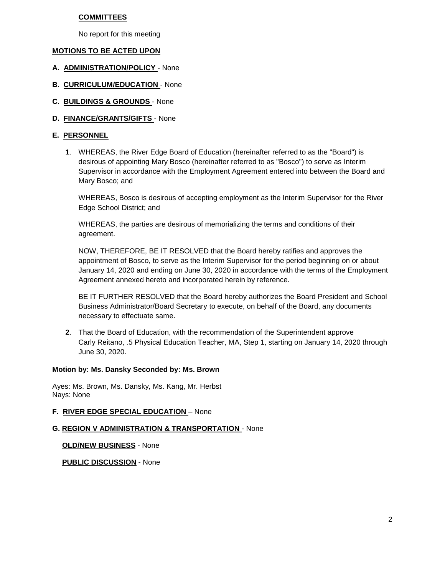#### **COMMITTEES**

No report for this meeting

## **MOTIONS TO BE ACTED UPON**

- **A. ADMINISTRATION/POLICY** None
- **B. CURRICULUM/EDUCATION**  None
- **C. BUILDINGS & GROUNDS** None
- **D. FINANCE/GRANTS/GIFTS**  None

## **E. PERSONNEL**

**1**. WHEREAS, the River Edge Board of Education (hereinafter referred to as the "Board") is desirous of appointing Mary Bosco (hereinafter referred to as "Bosco") to serve as Interim Supervisor in accordance with the Employment Agreement entered into between the Board and Mary Bosco; and

WHEREAS, Bosco is desirous of accepting employment as the Interim Supervisor for the River Edge School District; and

WHEREAS, the parties are desirous of memorializing the terms and conditions of their agreement.

NOW, THEREFORE, BE IT RESOLVED that the Board hereby ratifies and approves the appointment of Bosco, to serve as the Interim Supervisor for the period beginning on or about January 14, 2020 and ending on June 30, 2020 in accordance with the terms of the Employment Agreement annexed hereto and incorporated herein by reference.

BE IT FURTHER RESOLVED that the Board hereby authorizes the Board President and School Business Administrator/Board Secretary to execute, on behalf of the Board, any documents necessary to effectuate same.

**2**. That the Board of Education, with the recommendation of the Superintendent approve Carly Reitano, .5 Physical Education Teacher, MA, Step 1, starting on January 14, 2020 through June 30, 2020.

#### **Motion by: Ms. Dansky Seconded by: Ms. Brown**

Ayes: Ms. Brown, Ms. Dansky, Ms. Kang, Mr. Herbst Nays: None

## **F. RIVER EDGE SPECIAL EDUCATION** – None

## **G. REGION V ADMINISTRATION & TRANSPORTATION** - None

**OLD/NEW BUSINESS** - None

**PUBLIC DISCUSSION** - None